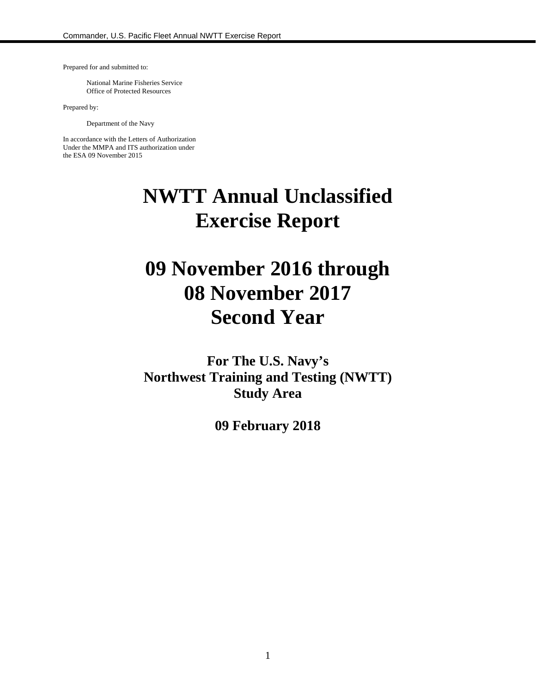Prepared for and submitted to:

National Marine Fisheries Service Office of Protected Resources

Prepared by:

Department of the Navy

In accordance with the Letters of Authorization Under the MMPA and ITS authorization under the ESA 09 November 2015

# **NWTT Annual Unclassified Exercise Report**

# **09 November 2016 through 08 November 2017 Second Year**

**For The U.S. Navy's Northwest Training and Testing (NWTT) Study Area**

**09 February 2018**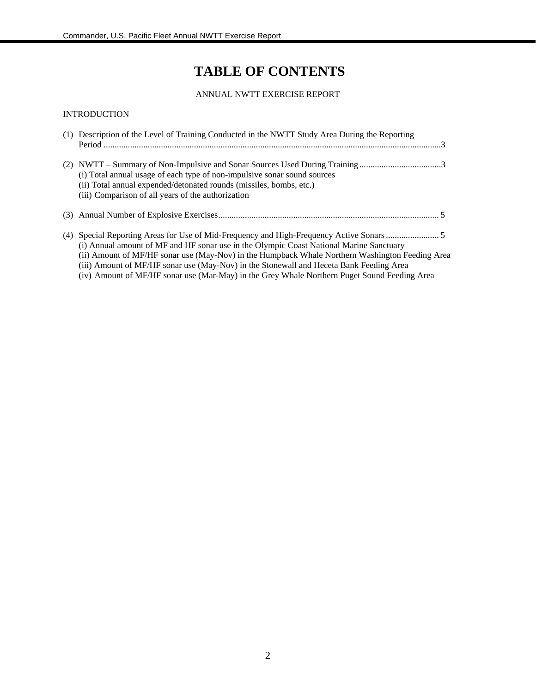# **TABLE OF CONTENTS**

#### ANNUAL NWTT EXERCISE REPORT

#### INTRODUCTION

| (1) Description of the Level of Training Conducted in the NWTT Study Area During the Reporting<br>Period $\ldots$                                                                                                                                                                                                                                                                     |
|---------------------------------------------------------------------------------------------------------------------------------------------------------------------------------------------------------------------------------------------------------------------------------------------------------------------------------------------------------------------------------------|
| (i) Total annual usage of each type of non-impulsive sonar sound sources<br>(ii) Total annual expended/detonated rounds (missiles, bombs, etc.)<br>(iii) Comparison of all years of the authorization                                                                                                                                                                                 |
|                                                                                                                                                                                                                                                                                                                                                                                       |
| (i) Annual amount of MF and HF sonar use in the Olympic Coast National Marine Sanctuary<br>(ii) Amount of MF/HF sonar use (May-Nov) in the Humpback Whale Northern Washington Feeding Area<br>(iii) Amount of MF/HF sonar use (May-Nov) in the Stonewall and Heceta Bank Feeding Area<br>(iv) Amount of MF/HF sonar use (Mar-May) in the Grey Whale Northern Puget Sound Feeding Area |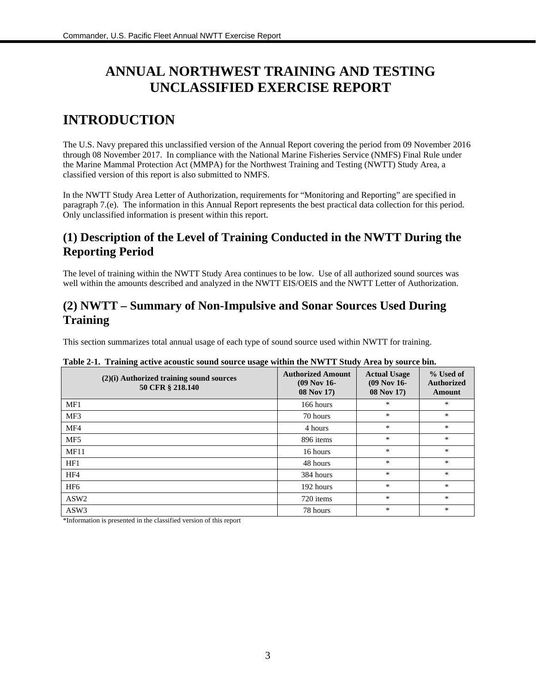# **ANNUAL NORTHWEST TRAINING AND TESTING UNCLASSIFIED EXERCISE REPORT**

# **INTRODUCTION**

The U.S. Navy prepared this unclassified version of the Annual Report covering the period from 09 November 2016 through 08 November 2017. In compliance with the National Marine Fisheries Service (NMFS) Final Rule under the Marine Mammal Protection Act (MMPA) for the Northwest Training and Testing (NWTT) Study Area, a classified version of this report is also submitted to NMFS.

In the NWTT Study Area Letter of Authorization, requirements for "Monitoring and Reporting" are specified in paragraph 7.(e). The information in this Annual Report represents the best practical data collection for this period. Only unclassified information is present within this report.

## **(1) Description of the Level of Training Conducted in the NWTT During the Reporting Period**

The level of training within the NWTT Study Area continues to be low. Use of all authorized sound sources was well within the amounts described and analyzed in the NWTT EIS/OEIS and the NWTT Letter of Authorization.

### **(2) NWTT – Summary of Non-Impulsive and Sonar Sources Used During Training**

This section summarizes total annual usage of each type of sound source used within NWTT for training.

| (2)(i) Authorized training sound sources<br>50 CFR § 218.140 | <b>Authorized Amount</b><br>$(09$ Nov 16-<br>08 Nov 17) | <b>Actual Usage</b><br>$(09$ Nov 16-<br>08 Nov 17) | % Used of<br><b>Authorized</b><br>Amount |
|--------------------------------------------------------------|---------------------------------------------------------|----------------------------------------------------|------------------------------------------|
| MF1                                                          | 166 hours                                               | *                                                  | $\ast$                                   |
| MF3                                                          | 70 hours                                                | $\ast$                                             | $\ast$                                   |
| MF4                                                          | 4 hours                                                 | $\ast$                                             | $\ast$                                   |
| MF <sub>5</sub>                                              | 896 items                                               | $\ast$                                             | $\ast$                                   |
| MF11                                                         | 16 hours                                                | *                                                  | $\ast$                                   |
| HF1                                                          | 48 hours                                                | *                                                  | $\ast$                                   |
| HF4                                                          | 384 hours                                               | $\ast$                                             | $\ast$                                   |
| HF <sub>6</sub>                                              | 192 hours                                               | $\ast$                                             | $\ast$                                   |
| ASW <sub>2</sub>                                             | 720 items                                               | $\ast$                                             | $\ast$                                   |
| ASW3                                                         | 78 hours                                                | *                                                  | *                                        |

| Table 2-1. Training active acoustic sound source usage within the NWTT Study Area by source bin. |  |  |
|--------------------------------------------------------------------------------------------------|--|--|
|                                                                                                  |  |  |
|                                                                                                  |  |  |

\*Information is presented in the classified version of this report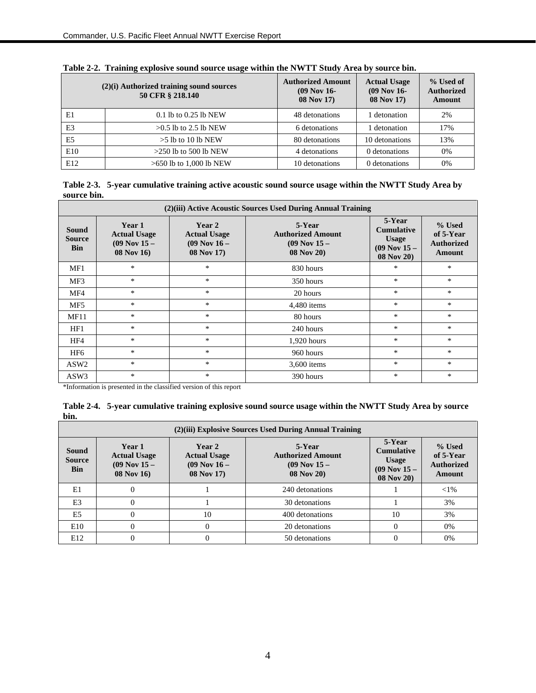| $(2)(i)$ Authorized training sound sources<br>50 CFR § 218.140 |                           | <b>Authorized Amount</b><br>$(09$ Nov 16-<br>08 Nov 17) | <b>Actual Usage</b><br>$(09$ Nov 16-<br>08 Nov 17) | % Used of<br><b>Authorized</b><br>Amount |
|----------------------------------------------------------------|---------------------------|---------------------------------------------------------|----------------------------------------------------|------------------------------------------|
| E1                                                             | $0.1$ lb to $0.25$ lb NEW | 48 detonations                                          | detonation                                         | 2%                                       |
| E <sub>3</sub>                                                 | $>0.5$ lb to 2.5 lb NEW   | 6 detonations                                           | detonation                                         | 17%                                      |
| E <sub>5</sub>                                                 | $>5$ lb to 10 lb NEW      | 80 detonations                                          | 10 detonations                                     | 13%                                      |
| E10                                                            | $>250$ lb to 500 lb NEW   | 4 detonations                                           | 0 detonations                                      | 0%                                       |
| E12                                                            | $>650$ lb to 1,000 lb NEW | 10 detonations                                          | 0 detonations                                      | 0%                                       |

| Table 2-2. Training explosive sound source usage within the NWTT Study Area by source bin. |  |  |
|--------------------------------------------------------------------------------------------|--|--|
|                                                                                            |  |  |

**Table 2-3. 5-year cumulative training active acoustic sound source usage within the NWTT Study Area by source bin.**

| (2)(iii) Active Acoustic Sources Used During Annual Training |                                                                |                                                                 |                                                                      |                                                                               |                                                    |
|--------------------------------------------------------------|----------------------------------------------------------------|-----------------------------------------------------------------|----------------------------------------------------------------------|-------------------------------------------------------------------------------|----------------------------------------------------|
| <b>Sound</b><br><b>Source</b><br><b>Bin</b>                  | Year 1<br><b>Actual Usage</b><br>$(09$ Nov $15 -$<br>08 Nov 16 | Year 2<br><b>Actual Usage</b><br>$(09$ Nov $16 -$<br>08 Nov 17) | 5-Year<br><b>Authorized Amount</b><br>$(09$ Nov $15 -$<br>08 Nov 20) | 5-Year<br><b>Cumulative</b><br><b>Usage</b><br>$(09$ Nov $15 -$<br>08 Nov 20) | % Used<br>of 5-Year<br><b>Authorized</b><br>Amount |
| MF1                                                          | $\ast$                                                         | $\ast$                                                          | 830 hours                                                            | $\ast$                                                                        | $\ast$                                             |
| MF3                                                          | $\ast$                                                         | $\ast$                                                          | 350 hours                                                            | $\ast$                                                                        | $\ast$                                             |
| MF4                                                          | *                                                              | $\ast$                                                          | 20 hours                                                             | $\ast$                                                                        | $*$                                                |
| MF <sub>5</sub>                                              | $\ast$                                                         | $\ast$                                                          | 4,480 items                                                          | $\ast$                                                                        | $*$                                                |
| MF11                                                         | *                                                              | *                                                               | 80 hours                                                             | $\ast$                                                                        | $\ast$                                             |
| HF1                                                          | *                                                              | $\ast$                                                          | 240 hours                                                            | $\ast$                                                                        | $\ast$                                             |
| HF4                                                          | $\ast$                                                         | $*$                                                             | $1,920$ hours                                                        | $*$                                                                           | $\ast$                                             |
| HF6                                                          | $\ast$                                                         | $\ast$                                                          | 960 hours                                                            | *                                                                             | *                                                  |
| ASW <sub>2</sub>                                             | *                                                              | $\ast$                                                          | 3,600 items                                                          | $\ast$                                                                        | $\ast$                                             |
| ASW3                                                         | *                                                              | $\ast$                                                          | 390 hours                                                            | $\ast$                                                                        | $\ast$                                             |

\*Information is presented in the classified version of this report

|            | Table 2-4. 5-year cumulative training explosive sound source usage within the NWTT Study Area by source |
|------------|---------------------------------------------------------------------------------------------------------|
| <b>bin</b> |                                                                                                         |

| (2) (iii) Explosive Sources Used During Annual Training |                                                                       |                                                                 |                                                                            |                                                                                       |                                                    |
|---------------------------------------------------------|-----------------------------------------------------------------------|-----------------------------------------------------------------|----------------------------------------------------------------------------|---------------------------------------------------------------------------------------|----------------------------------------------------|
| Sound<br><b>Source</b><br><b>Bin</b>                    | Year 1<br><b>Actual Usage</b><br>$(09$ Nov $15 -$<br><b>08 Nov 16</b> | Year 2<br><b>Actual Usage</b><br>$(09$ Nov $16 -$<br>08 Nov 17) | 5-Year<br><b>Authorized Amount</b><br>$(09$ Nov $15 -$<br><b>08 Nov 20</b> | 5-Year<br><b>Cumulative</b><br><b>Usage</b><br>$(09$ Nov $15 -$<br><b>08 Nov 20</b> ) | % Used<br>of 5-Year<br><b>Authorized</b><br>Amount |
| E1                                                      |                                                                       |                                                                 | 240 detonations                                                            |                                                                                       | ${<}1\%$                                           |
| E3                                                      |                                                                       |                                                                 | 30 detonations                                                             |                                                                                       | 3%                                                 |
| E5                                                      |                                                                       | 10                                                              | 400 detonations                                                            | 10                                                                                    | 3%                                                 |
| E10                                                     |                                                                       | $\theta$                                                        | 20 detonations                                                             | 0                                                                                     | 0%                                                 |
| E12                                                     |                                                                       | $\theta$                                                        | 50 detonations                                                             | 0                                                                                     | 0%                                                 |